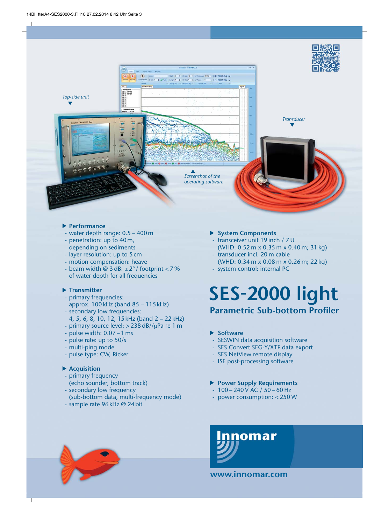



- **Performance**
- *-* water depth range: 0.5 400m
- *-* penetration: up to 40m, depending on sediments
- *-* layer resolution: up to 5cm
- *-* motion compensation: heave
- *-* beam width @ 3 dB: ± 2° / footprint < 7 % of water depth for all frequencies

### **Transmitter**

- *-* primary frequencies: approx. 100 kHz (band 85 – 115kHz)
- *-* secondary low frequencies:
- 4, 5, 6, 8, 10, 12, 15kHz (band 2 22kHz)
- *-* primary source level: > 238 dB//µPa re 1 m
- *-* pulse width: 0.07 1ms
- *-* pulse rate: up to 50/s
- *-* multi-ping mode
- *-* pulse type: CW, Ricker

### **Acquisition**

- *-* primary frequency (echo sounder, bottom track)
- *-* secondary low frequency
- (sub-bottom data, multi-frequency mode)

### *-* sample rate 96kHz @ 24bit

### **System Components**

- transceiver unit 19 inch / 7 U *-* (WHD: 0.52 m x 0.35 m x 0.40 m; 31 kg)
- transducer incl. 20 m cable *-* (WHD: 0.34 m x 0.08 m x 0.26 m; 22 kg)
- system control: internal PC *-*

# **SES-2000 light Parametric Sub-bottom Profiler**

### **Software**

- SESWIN data acquisition software *-*
- SES Convert SEG-Y/XTF data export *-*
- SES NetView remote display *-*
- ISE post-processing software

### **Power Supply Requirements**

- 100 240 V AC / 50 60 Hz *-*
- power consumption: < 250 W *-*



**www.innomar.com**